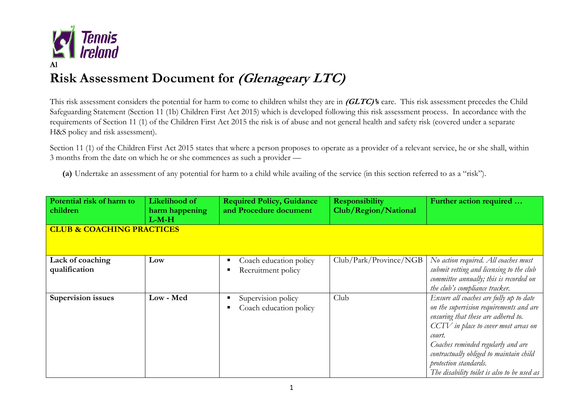

## **Risk Assessment Document for (Glenageary LTC)**

This risk assessment considers the potential for harm to come to children whilst they are in **(GLTC)'s** care. This risk assessment precedes the Child Safeguarding Statement (Section 11 (1b) Children First Act 2015) which is developed following this risk assessment process. In accordance with the requirements of Section 11 (1) of the Children First Act 2015 the risk is of abuse and not general health and safety risk (covered under a separate H&S policy and risk assessment).

Section 11 (1) of the Children First Act 2015 states that where a person proposes to operate as a provider of a relevant service, he or she shall, within 3 months from the date on which he or she commences as such a provider —

**(a)** Undertake an assessment of any potential for harm to a child while availing of the service (in this section referred to as a "risk").

| Potential risk of harm to<br>children           | Likelihood of<br>harm happening | <b>Required Policy, Guidance</b><br>and Procedure document | <b>Responsibility</b><br>Club/Region/National | Further action required                                                                                                                                                                                                                                                                                                              |  |
|-------------------------------------------------|---------------------------------|------------------------------------------------------------|-----------------------------------------------|--------------------------------------------------------------------------------------------------------------------------------------------------------------------------------------------------------------------------------------------------------------------------------------------------------------------------------------|--|
| $L-M-H$<br><b>CLUB &amp; COACHING PRACTICES</b> |                                 |                                                            |                                               |                                                                                                                                                                                                                                                                                                                                      |  |
| Lack of coaching<br>qualification               | Low                             | Coach education policy<br>п<br>Recruitment policy<br>п     | Club/Park/Province/NGB                        | No action required. All coaches must<br>submit vetting and licensing to the club<br>committee annually; this is recorded on<br>the club's compliance tracker.                                                                                                                                                                        |  |
| <b>Supervision issues</b>                       | Low - Med                       | Supervision policy<br>Coach education policy               | Club                                          | Ensure all coaches are fully up to date<br>on the supervision requirements and are<br>ensuring that these are adhered to.<br>CCTV in place to cover most areas on<br>court.<br>Coaches reminded regularly and are<br>contractually obliged to maintain child<br>protection standards.<br>The disability toilet is also to be used as |  |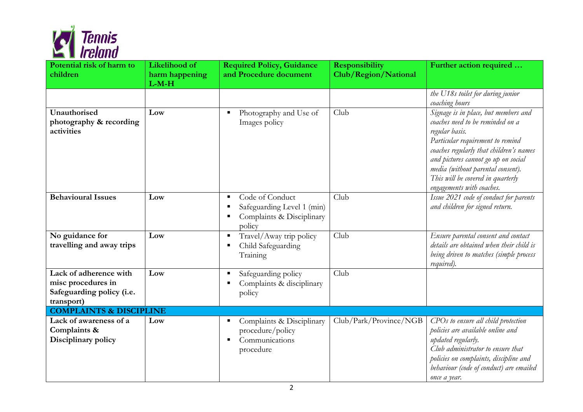

| Potential risk of harm to<br>children                                                   | Likelihood of<br>harm happening<br>$L-M-H$ | <b>Required Policy, Guidance</b><br>and Procedure document                                          | <b>Responsibility</b><br>Club/Region/National | Further action required                                                                                                                                                                                                                                                                                                 |
|-----------------------------------------------------------------------------------------|--------------------------------------------|-----------------------------------------------------------------------------------------------------|-----------------------------------------------|-------------------------------------------------------------------------------------------------------------------------------------------------------------------------------------------------------------------------------------------------------------------------------------------------------------------------|
|                                                                                         |                                            |                                                                                                     |                                               | the U18s toilet for during junior<br>coaching hours                                                                                                                                                                                                                                                                     |
| Unauthorised<br>photography & recording<br>activities                                   | Low                                        | Photography and Use of<br>Images policy                                                             | Club                                          | Signage is in place, but members and<br>coaches need to be reminded on a<br>regular basis.<br>Particular requirement to remind<br>coaches regularly that children's names<br>and pictures cannot go up on social<br>media (without parental consent).<br>This will be covered in quarterly<br>engagements with coaches. |
| <b>Behavioural Issues</b>                                                               | Low                                        | Code of Conduct<br>п<br>Safeguarding Level 1 (min)<br>п<br>Complaints & Disciplinary<br>п<br>policy | Club                                          | Issue 2021 code of conduct for parents<br>and children for signed return.                                                                                                                                                                                                                                               |
| No guidance for<br>travelling and away trips                                            | Low                                        | Travel/Away trip policy<br>п<br>Child Safeguarding<br>Training                                      | Club                                          | Ensure parental consent and contact<br>details are obtained when their child is<br>being driven to matches (simple process<br>required).                                                                                                                                                                                |
| Lack of adherence with<br>misc procedures in<br>Safeguarding policy (i.e.<br>transport) | Low                                        | Safeguarding policy<br>п<br>Complaints & disciplinary<br>policy                                     | Club                                          |                                                                                                                                                                                                                                                                                                                         |
| <b>COMPLAINTS &amp; DISCIPLINE</b>                                                      |                                            |                                                                                                     |                                               |                                                                                                                                                                                                                                                                                                                         |
| Lack of awareness of a<br>Complaints &<br>Disciplinary policy                           | Low                                        | Complaints & Disciplinary<br>п<br>procedure/policy<br>Communications<br>procedure                   | Club/Park/Province/NGB                        | CPOs to ensure all child protection<br>policies are available online and<br>updated regularly.<br>Club administrator to ensure that<br>policies on complaints, discipline and<br>behaviour (code of conduct) are emailed<br>once a year.                                                                                |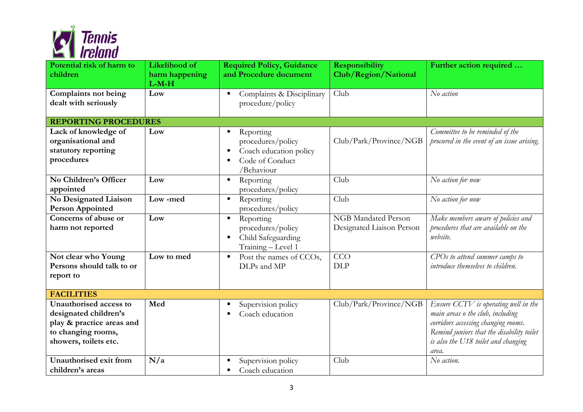

| Potential risk of harm to<br>children                                                                                       | Likelihood of<br>harm happening<br>$L-M-H$ | <b>Required Policy, Guidance</b><br>and Procedure document                                                     | <b>Responsibility</b><br>Club/Region/National    | Further action required                                                                                                                                                                                      |
|-----------------------------------------------------------------------------------------------------------------------------|--------------------------------------------|----------------------------------------------------------------------------------------------------------------|--------------------------------------------------|--------------------------------------------------------------------------------------------------------------------------------------------------------------------------------------------------------------|
| <b>Complaints not being</b><br>dealt with seriously                                                                         | Low                                        | Complaints & Disciplinary<br>п<br>procedure/policy                                                             | Club                                             | No action                                                                                                                                                                                                    |
| <b>REPORTING PROCEDURES</b>                                                                                                 |                                            |                                                                                                                |                                                  |                                                                                                                                                                                                              |
| Lack of knowledge of<br>organisational and<br>statutory reporting<br>procedures                                             | Low                                        | Reporting<br>п<br>procedures/policy<br>Coach education policy<br>п<br>Code of Conduct<br>п<br>/Behaviour       | Club/Park/Province/NGB                           | Committee to be reminded of the<br>procured in the event of an issue arising.                                                                                                                                |
| No Children's Officer<br>appointed                                                                                          | Low                                        | Reporting<br>٠<br>procedures/policy                                                                            | Club                                             | No action for now                                                                                                                                                                                            |
| No Designated Liaison<br><b>Person Appointed</b>                                                                            | Low-med                                    | Reporting<br>$\blacksquare$<br>procedures/policy                                                               | Club                                             | No action for now                                                                                                                                                                                            |
| Concerns of abuse or<br>harm not reported                                                                                   | Low                                        | Reporting<br>$\blacksquare$<br>procedures/policy<br>Child Safeguarding<br>$\blacksquare$<br>Training - Level 1 | NGB Mandated Person<br>Designated Liaison Person | Make members aware of policies and<br>procedures that are available on the<br>website.                                                                                                                       |
| Not clear who Young<br>Persons should talk to or<br>report to                                                               | Low to med                                 | Post the names of CCOs,<br>$\blacksquare$<br>DLPs and MP                                                       | CCO<br><b>DLP</b>                                | CPOs to attend summer camps to<br>introduce themselves to children.                                                                                                                                          |
| <b>FACILITIES</b>                                                                                                           |                                            |                                                                                                                |                                                  |                                                                                                                                                                                                              |
| Unauthorised access to<br>designated children's<br>play & practice areas and<br>to changing rooms,<br>showers, toilets etc. | Med                                        | Supervision policy<br>п<br>Coach education                                                                     | Club/Park/Province/NGB                           | Ensure CCTV is operating well in the<br>main areas o the club, including<br>corridors accessing changing rooms.<br>Remind juniors that the disability toilet<br>is also the U18 toilet and changing<br>area. |
| Unauthorised exit from<br>children's areas                                                                                  | N/a                                        | Supervision policy<br>Coach education<br>$\blacksquare$                                                        | Club                                             | No action.                                                                                                                                                                                                   |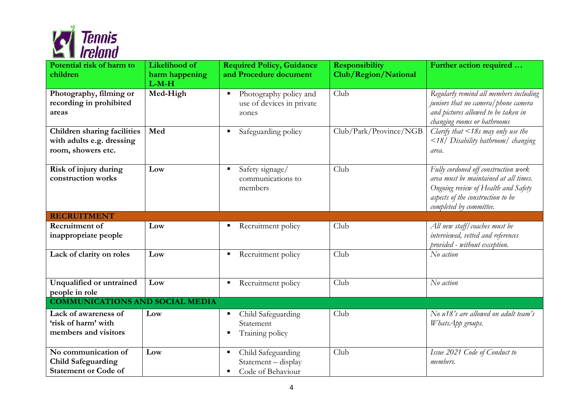

| Potential risk of harm to<br>children                                                 | Likelihood of<br>harm happening<br>$L-M-H$ | <b>Required Policy, Guidance</b><br>and Procedure document               | <b>Responsibility</b><br>Club/Region/National | Further action required                                                                                                                                                              |
|---------------------------------------------------------------------------------------|--------------------------------------------|--------------------------------------------------------------------------|-----------------------------------------------|--------------------------------------------------------------------------------------------------------------------------------------------------------------------------------------|
| Photography, filming or<br>recording in prohibited<br>areas                           | Med-High                                   | Photography policy and<br>п<br>use of devices in private<br>zones        | Club                                          | Regularly remind all members including<br>juniors that no camera/phone camera<br>and pictures allowed to be taken in<br>changing rooms or bathrooms                                  |
| <b>Children sharing facilities</b><br>with adults e.g. dressing<br>room, showers etc. | Med                                        | Safeguarding policy<br>$\blacksquare$                                    | Club/Park/Province/NGB                        | Clarify that $\langle$ 18s may only use the<br><18/ Disability bathroom/ changing<br>area.                                                                                           |
| Risk of injury during<br>construction works                                           | Low                                        | Safety signage/<br>п<br>communications to<br>members                     | Club                                          | Fully cordoned off construction work<br>area must be maintained at all times.<br>Ongoing review of Health and Safety<br>aspects of the construction to be<br>completed by committee. |
| <b>RECRUITMENT</b>                                                                    |                                            |                                                                          |                                               |                                                                                                                                                                                      |
| Recruitment of<br>inappropriate people                                                | Low                                        | Recruitment policy<br>п                                                  | Club                                          | All new staff/coaches must be<br>interviewed, vetted and references<br>provided - without exception.                                                                                 |
| Lack of clarity on roles                                                              | Low                                        | Recruitment policy<br>Ξ                                                  | Club                                          | No action                                                                                                                                                                            |
| Unqualified or untrained<br>people in role                                            | Low                                        | Recruitment policy<br>Е                                                  | Club                                          | No action                                                                                                                                                                            |
| <b>COMMUNICATIONS AND SOCIAL MEDIA</b>                                                |                                            |                                                                          |                                               |                                                                                                                                                                                      |
| Lack of awareness of<br>'risk of harm' with<br>members and visitors                   | Low                                        | Child Safeguarding<br>Е<br>Statement<br>Training policy<br>в             | Club                                          | No u18's are allowed on adult team's<br>WhatsApp groups.                                                                                                                             |
| No communication of<br><b>Child Safeguarding</b><br><b>Statement or Code of</b>       | Low                                        | Child Safeguarding<br>п<br>Statement - display<br>Code of Behaviour<br>п | Club                                          | Issue 2021 Code of Conduct to<br>members.                                                                                                                                            |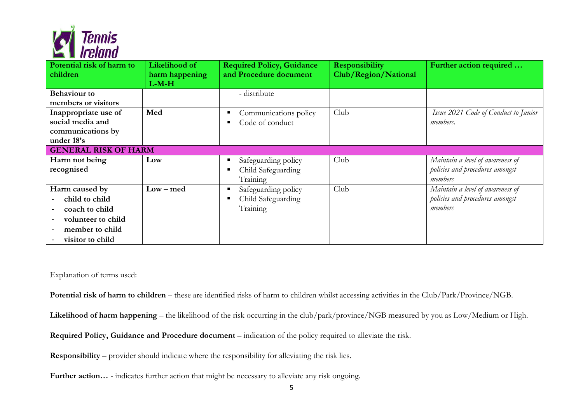

| Potential risk of harm to<br>children                                                                                     | Likelihood of<br>harm happening<br>$L-M-H$ | <b>Required Policy, Guidance</b><br>and Procedure document | <b>Responsibility</b><br>Club/Region/National | Further action required                                                        |  |
|---------------------------------------------------------------------------------------------------------------------------|--------------------------------------------|------------------------------------------------------------|-----------------------------------------------|--------------------------------------------------------------------------------|--|
| <b>Behaviour</b> to<br>members or visitors<br>Inappropriate use of<br>social media and<br>communications by<br>under 18's | Med                                        | - distribute<br>Communications policy<br>Code of conduct   | Club                                          | Issue 2021 Code of Conduct to Junior<br><i>members.</i>                        |  |
| <b>GENERAL RISK OF HARM</b>                                                                                               |                                            |                                                            |                                               |                                                                                |  |
| Harm not being<br>recognised                                                                                              | Low                                        | Safeguarding policy<br>Child Safeguarding<br>п<br>Training | Club                                          | Maintain a level of awareness of<br>policies and procedures amongst<br>members |  |
| Harm caused by<br>child to child<br>coach to child<br>volunteer to child<br>member to child<br>visitor to child           | $Low - med$                                | Safeguarding policy<br>п<br>Child Safeguarding<br>Training | Club                                          | Maintain a level of awareness of<br>policies and procedures amongst<br>members |  |

## Explanation of terms used:

**Potential risk of harm to children** – these are identified risks of harm to children whilst accessing activities in the Club/Park/Province/NGB.

**Likelihood of harm happening** – the likelihood of the risk occurring in the club/park/province/NGB measured by you as Low/Medium or High.

**Required Policy, Guidance and Procedure document** – indication of the policy required to alleviate the risk.

**Responsibility** – provider should indicate where the responsibility for alleviating the risk lies.

Further action... - indicates further action that might be necessary to alleviate any risk ongoing.